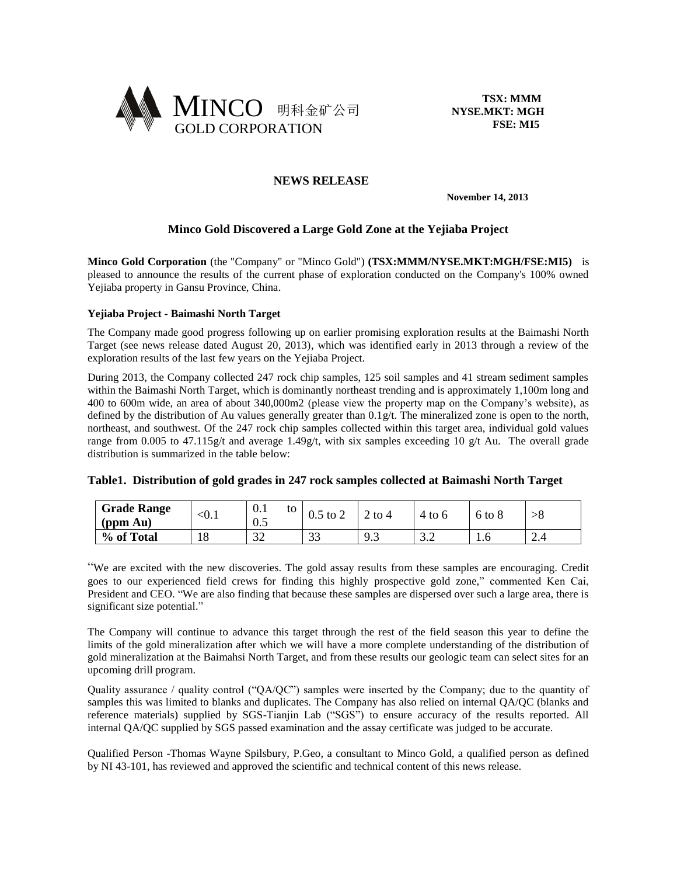

 **TSX: MMM NYSE.MKT: MGH FSE: MI5**

# **NEWS RELEASE**

 **November 14, 2013**

# **Minco Gold Discovered a Large Gold Zone at the Yejiaba Project**

**Minco Gold Corporation** (the "Company" or "Minco Gold") **(TSX:MMM/NYSE.MKT:MGH/FSE:MI5)** is pleased to announce the results of the current phase of exploration conducted on the Company's 100% owned Yejiaba property in Gansu Province, China.

### **Yejiaba Project - Baimashi North Target**

The Company made good progress following up on earlier promising exploration results at the Baimashi North Target (see news release dated August 20, 2013), which was identified early in 2013 through a review of the exploration results of the last few years on the Yejiaba Project.

During 2013, the Company collected 247 rock chip samples, 125 soil samples and 41 stream sediment samples within the Baimashi North Target, which is dominantly northeast trending and is approximately 1,100m long and 400 to 600m wide, an area of about 340,000m2 (please view the property map on the Company's website), as defined by the distribution of Au values generally greater than  $0.1$  g/t. The mineralized zone is open to the north, northeast, and southwest. Of the 247 rock chip samples collected within this target area, individual gold values range from 0.005 to 47.115g/t and average 1.49g/t, with six samples exceeding 10 g/t Au. The overall grade distribution is summarized in the table below:

### **Table1. Distribution of gold grades in 247 rock samples collected at Baimashi North Target**

| <b>Grade Range</b><br>(ppm Au) | $\sim$ U. | 0.1<br>to<br>U.J | to<br>U. J<br>∠ | to $4$                   | to 6                   | $-6$ to $\circ$ | >o  |
|--------------------------------|-----------|------------------|-----------------|--------------------------|------------------------|-----------------|-----|
| % of Total                     | 18        | $\sim$<br>ے ب    | $\sim$<br>ر ر   | $\alpha$ $\gamma$<br>ر., | $\sim$ $\sim$<br>ے . ب | 1.0             | 4.4 |

"We are excited with the new discoveries. The gold assay results from these samples are encouraging. Credit goes to our experienced field crews for finding this highly prospective gold zone," commented Ken Cai, President and CEO. "We are also finding that because these samples are dispersed over such a large area, there is significant size potential."

The Company will continue to advance this target through the rest of the field season this year to define the limits of the gold mineralization after which we will have a more complete understanding of the distribution of gold mineralization at the Baimahsi North Target, and from these results our geologic team can select sites for an upcoming drill program.

Quality assurance / quality control ("QA/QC") samples were inserted by the Company; due to the quantity of samples this was limited to blanks and duplicates. The Company has also relied on internal QA/QC (blanks and reference materials) supplied by SGS-Tianjin Lab ("SGS") to ensure accuracy of the results reported. All internal QA/QC supplied by SGS passed examination and the assay certificate was judged to be accurate.

Qualified Person -Thomas Wayne Spilsbury, P.Geo, a consultant to Minco Gold, a qualified person as defined by NI 43-101, has reviewed and approved the scientific and technical content of this news release.